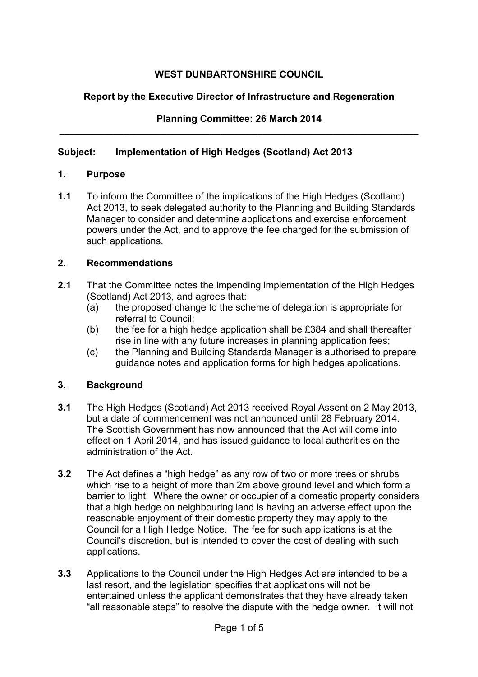# **WEST DUNBARTONSHIRE COUNCIL**

# **Report by the Executive Director of Infrastructure and Regeneration**

#### **Planning Committee: 26 March 2014 \_\_\_\_\_\_\_\_\_\_\_\_\_\_\_\_\_\_\_\_\_\_\_\_\_\_\_\_\_\_\_\_\_\_\_\_\_\_\_\_\_\_\_\_\_\_\_\_\_\_\_\_\_\_\_\_\_\_\_\_\_\_\_\_\_\_\_**

## **Subject: Implementation of High Hedges (Scotland) Act 2013**

#### **1. Purpose**

 $1.1$  Act 2013, to seek delegated authority to the Planning and Building Standards Manager to consider and determine applications and exercise enforcement powers under the Act, and to approve the fee charged for the submission of **1.1** To inform the Committee of the implications of the High Hedges (Scotland) such applications.

#### **2. Recommendations**

- $2.1$  (Scotland) Act 2013, and agrees that: **2.1** That the Committee notes the impending implementation of the High Hedges
	- $(a)$  referral to Council; the proposed change to the scheme of delegation is appropriate for
	- $(b)$  rise in line with any future increases in planning application fees; the fee for a high hedge application shall be £384 and shall thereafter
	- $(c)$  guidance notes and application forms for high hedges applications. the Planning and Building Standards Manager is authorised to prepare

## **3. Background**

- $3.1$  but a date of commencement was not announced until 28 February 2014. The Scottish Government has now announced that the Act will come into effect on 1 April 2014, and has issued guidance to local authorities on the administration of the Act. **3.1** The High Hedges (Scotland) Act 2013 received Royal Assent on 2 May 2013,
- **3.2** The Act defines a "high hedge" as any row of two or more trees or shrubs which rise to a height of more than 2m above ground level and which form a barrier to light. Where the owner or occupier of a domestic property considers that a high hedge on neighbouring land is having an adverse effect upon the reasonable enjoyment of their domestic property they may apply to the Council for a High Hedge Notice. The fee for such applications is at the Council's discretion, but is intended to cover the cost of dealing with such applications.
- **3.3** Applications to the Council under the High Hedges Act are intended to be a last resort, and the legislation specifies that applications will not be entertained unless the applicant demonstrates that they have already taken "all reasonable steps" to resolve the dispute with the hedge owner. It will not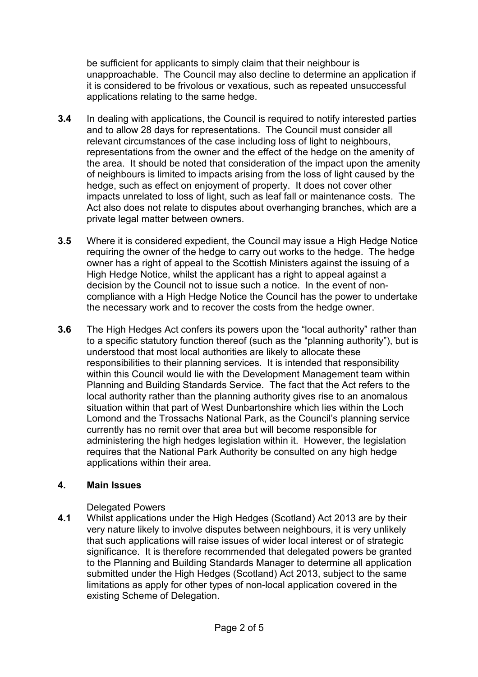be sufficient for applicants to simply claim that their neighbour is unapproachable. The Council may also decline to determine an application if it is considered to be frivolous or vexatious, such as repeated unsuccessful applications relating to the same hedge.

- $3.4$  and to allow 28 days for representations. The Council must consider all relevant circumstances of the case including loss of light to neighbours, representations from the owner and the effect of the hedge on the amenity of the area. It should be noted that consideration of the impact upon the amenity of neighbours is limited to impacts arising from the loss of light caused by the hedge, such as effect on enjoyment of property. It does not cover other impacts unrelated to loss of light, such as leaf fall or maintenance costs. The Act also does not relate to disputes about overhanging branches, which are a private legal matter between owners. **3.4** In dealing with applications, the Council is required to notify interested parties
- $3.5$  requiring the owner of the hedge to carry out works to the hedge. The hedge owner has a right of appeal to the Scottish Ministers against the issuing of a High Hedge Notice, whilst the applicant has a right to appeal against a decision by the Council not to issue such a notice. In the event of non- compliance with a High Hedge Notice the Council has the power to undertake the necessary work and to recover the costs from the hedge owner. **3.5** Where it is considered expedient, the Council may issue a High Hedge Notice
- $3.6$  to a specific statutory function thereof (such as the "planning authority"), but is understood that most local authorities are likely to allocate these responsibilities to their planning services. It is intended that responsibility within this Council would lie with the Development Management team within Planning and Building Standards Service. The fact that the Act refers to the local authority rather than the planning authority gives rise to an anomalous situation within that part of West Dunbartonshire which lies within the Loch Lomond and the Trossachs National Park, as the Council's planning service currently has no remit over that area but will become responsible for administering the high hedges legislation within it. However, the legislation requires that the National Park Authority be consulted on any high hedge applications within their area. **3.6** The High Hedges Act confers its powers upon the "local authority" rather than

#### **4. Main Issues**

## Delegated Powers

 **4.1** Whilst applications under the High Hedges (Scotland) Act 2013 are by their very nature likely to involve disputes between neighbours, it is very unlikely that such applications will raise issues of wider local interest or of strategic significance. It is therefore recommended that delegated powers be granted to the Planning and Building Standards Manager to determine all application submitted under the High Hedges (Scotland) Act 2013, subject to the same limitations as apply for other types of non-local application covered in the existing Scheme of Delegation.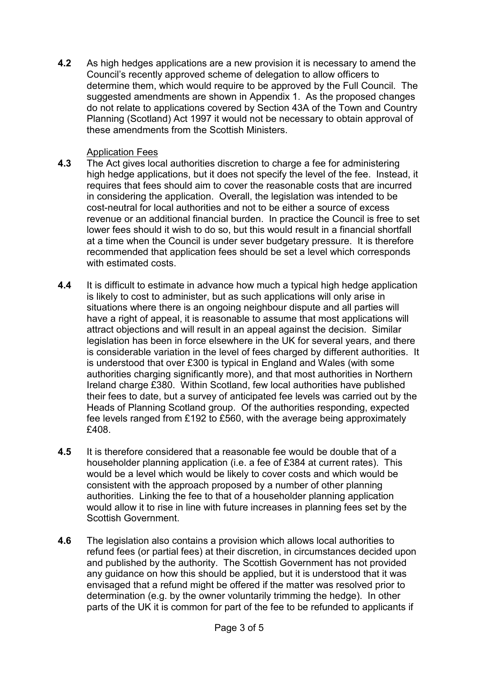**4.2** As high hedges applications are a new provision it is necessary to amend the Council's recently approved scheme of delegation to allow officers to determine them, which would require to be approved by the Full Council. The suggested amendments are shown in Appendix 1. As the proposed changes do not relate to applications covered by Section 43A of the Town and Country Planning (Scotland) Act 1997 it would not be necessary to obtain approval of these amendments from the Scottish Ministers.

## Application Fees

- $4.3$  high hedge applications, but it does not specify the level of the fee. Instead, it requires that fees should aim to cover the reasonable costs that are incurred in considering the application. Overall, the legislation was intended to be cost-neutral for local authorities and not to be either a source of excess revenue or an additional financial burden. In practice the Council is free to set lower fees should it wish to do so, but this would result in a financial shortfall at a time when the Council is under sever budgetary pressure. It is therefore recommended that application fees should be set a level which corresponds with estimated costs. **4.3** The Act gives local authorities discretion to charge a fee for administering
- $4.4$  is likely to cost to administer, but as such applications will only arise in situations where there is an ongoing neighbour dispute and all parties will have a right of appeal, it is reasonable to assume that most applications will attract objections and will result in an appeal against the decision. Similar legislation has been in force elsewhere in the UK for several years, and there is considerable variation in the level of fees charged by different authorities. It is understood that over £300 is typical in England and Wales (with some authorities charging significantly more), and that most authorities in Northern Ireland charge £380. Within Scotland, few local authorities have published their fees to date, but a survey of anticipated fee levels was carried out by the Heads of Planning Scotland group. Of the authorities responding, expected fee levels ranged from £192 to £560, with the average being approximately **4.4** It is difficult to estimate in advance how much a typical high hedge application £408.
- $4.5$  householder planning application (i.e. a fee of £384 at current rates). This would be a level which would be likely to cover costs and which would be consistent with the approach proposed by a number of other planning authorities. Linking the fee to that of a householder planning application would allow it to rise in line with future increases in planning fees set by the **4.5** It is therefore considered that a reasonable fee would be double that of a Scottish Government.
- 4.6 refund fees (or partial fees) at their discretion, in circumstances decided upon and published by the authority. The Scottish Government has not provided any guidance on how this should be applied, but it is understood that it was envisaged that a refund might be offered if the matter was resolved prior to determination (e.g. by the owner voluntarily trimming the hedge). In other parts of the UK it is common for part of the fee to be refunded to applicants if **4.6** The legislation also contains a provision which allows local authorities to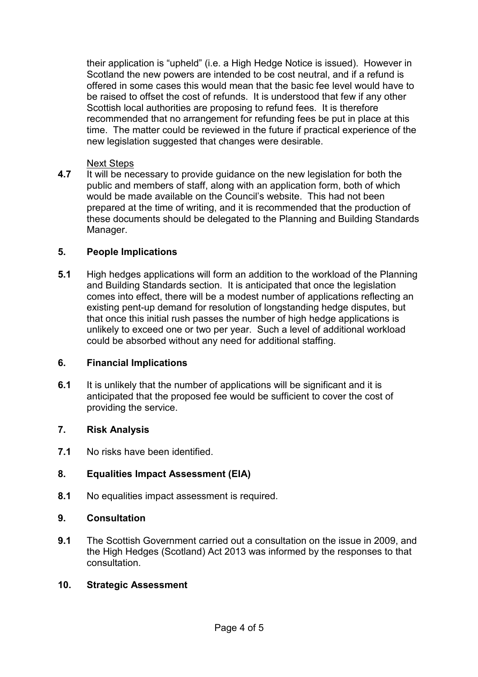their application is "upheld" (i.e. a High Hedge Notice is issued). However in Scotland the new powers are intended to be cost neutral, and if a refund is offered in some cases this would mean that the basic fee level would have to be raised to offset the cost of refunds. It is understood that few if any other Scottish local authorities are proposing to refund fees. It is therefore recommended that no arrangement for refunding fees be put in place at this time. The matter could be reviewed in the future if practical experience of the new legislation suggested that changes were desirable.

#### Next Steps

 **4.7** It will be necessary to provide guidance on the new legislation for both the public and members of staff, along with an application form, both of which would be made available on the Council's website. This had not been prepared at the time of writing, and it is recommended that the production of these documents should be delegated to the Planning and Building Standards Manager.

## **5. People Implications**

 $5.1$  and Building Standards section. It is anticipated that once the legislation comes into effect, there will be a modest number of applications reflecting an existing pent-up demand for resolution of longstanding hedge disputes, but that once this initial rush passes the number of high hedge applications is unlikely to exceed one or two per year. Such a level of additional workload could be absorbed without any need for additional staffing. **5.1** High hedges applications will form an addition to the workload of the Planning

#### **6. Financial Implications**

 $6.1$  anticipated that the proposed fee would be sufficient to cover the cost of providing the service. **6.1** It is unlikely that the number of applications will be significant and it is

#### **7. Risk Analysis**

**7.1** No risks have been identified.

## **8. Equalities Impact Assessment (EIA)**

 $8.1$ **8.1** No equalities impact assessment is required.

## **9. Consultation**

 **9.1** The Scottish Government carried out a consultation on the issue in 2009, and the High Hedges (Scotland) Act 2013 was informed by the responses to that consultation.

#### **10. Strategic Assessment**